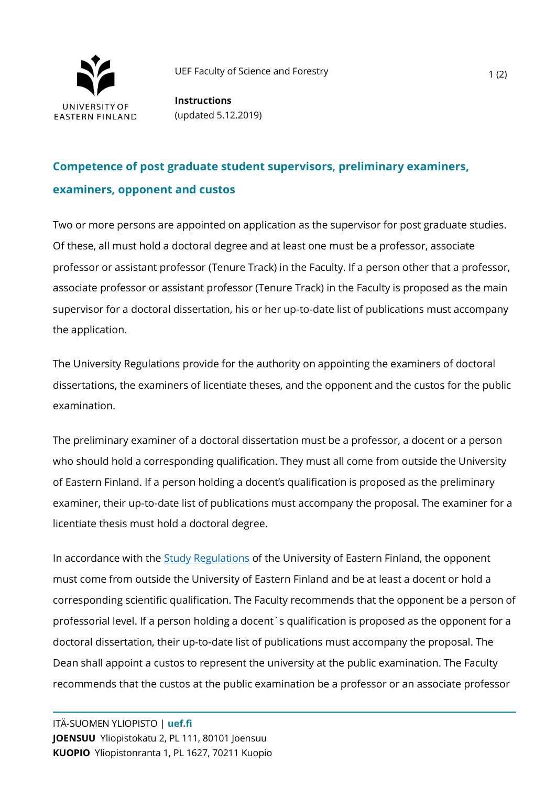

**Instructions** (updated 5.12.2019)

## **Competence of post graduate student supervisors, preliminary examiners, examiners, opponent and custos**

Two or more persons are appointed on application as the supervisor for post graduate studies. Of these, all must hold a doctoral degree and at least one must be a professor, associate professor or assistant professor (Tenure Track) in the Faculty. If a person other that a professor, associate professor or assistant professor (Tenure Track) in the Faculty is proposed as the main supervisor for a doctoral dissertation, his or her up-to-date list of publications must accompany the application.

The University Regulations provide for the authority on appointing the examiners of doctoral dissertations, the examiners of licentiate theses, and the opponent and the custos for the public examination.

The preliminary examiner of a doctoral dissertation must be a professor, a docent or a person who should hold a corresponding qualification. They must all come from outside the University of Eastern Finland. If a person holding a docent's qualification is proposed as the preliminary examiner, their up-to-date list of publications must accompany the proposal. The examiner for a licentiate thesis must hold a doctoral degree.

In accordance with the [Study Regulations](https://kamu.uef.fi/en/student-book/study-regulations/) of the University of Eastern Finland, the opponent must come from outside the University of Eastern Finland and be at least a docent or hold a corresponding scientific qualification. The Faculty recommends that the opponent be a person of professorial level. If a person holding a docent´s qualification is proposed as the opponent for a doctoral dissertation, their up-to-date list of publications must accompany the proposal. The Dean shall appoint a custos to represent the university at the public examination. The Faculty recommends that the custos at the public examination be a professor or an associate professor